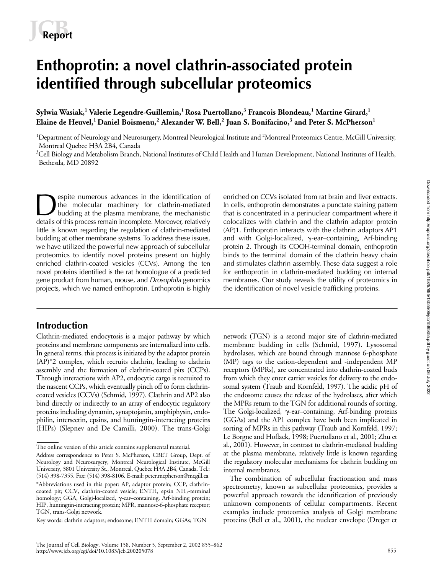# **Enthoprotin: a novel clathrin-associated protein identified through subcellular proteomics**

**Sylwia Wasiak,<sup>1</sup> Valerie Legendre-Guillemin,1 Rosa Puertollano,3 Francois Blondeau,<sup>1</sup> Martine Girard,<sup>1</sup>**  ${\bf E}$ laine de Heuvel, $^1$ Daniel Boismenu, $^2$  Alexander W. Bell, $^2$  Juan S. Bonifacino, $^3$  and Peter S. McPherson $^1$ 

<sup>1</sup>Department of Neurology and Neurosurgery, Montreal Neurological Institute and <sup>2</sup>Montreal Proteomics Centre, McGill University, Montreal Quebec H3A 2B4, Canada

 $3$ Cell Biology and Metabolism Branch, National Institutes of Child Health and Human Development, National Institutes of Health, Bethesda, MD 20892

espite numerous advances in the identification of the molecular machinery for clathrin-mediated budding at the plasma membrane, the mechanistic details of this process remain incomplete. Moreover, relatively little is known regarding the regulation of clathrin-mediated budding at other membrane systems. To address these issues, we have utilized the powerful new approach of subcellular proteomics to identify novel proteins present on highly enriched clathrin-coated vesicles (CCVs). Among the ten novel proteins identified is the rat homologue of a predicted gene product from human, mouse, and *Drosophila* genomics projects, which we named enthoprotin. Enthoprotin is highly Enriched on CCVs isolated from rat brain and liver extracts.<br>
the molecular machinery for clathrin-mediated in cells, enthoprotin demonstrates a punctate staining pattern<br>
budding at the plasma membrane, the mechanistic th

# **Introduction**

Clathrin-mediated endocytosis is a major pathway by which proteins and membrane components are internalized into cells. In general terms, this process is initiated by the adaptor protein (AP)\*2 complex, which recruits clathrin, leading to clathrin assembly and the formation of clathrin-coated pits (CCPs). Through interactions with AP2, endocytic cargo is recruited to the nascent CCPs, which eventually pinch off to form clathrincoated vesicles (CCVs) (Schmid, 1997). Clathrin and AP2 also bind directly or indirectly to an array of endocytic regulatory proteins including dynamin, synaptojanin, amphiphysin, endophilin, intersectin, epsins, and huntingtin-interacting proteins (HIPs) (Slepnev and De Camilli, 2000). The trans-Golgi

In cells, enthoprotin demonstrates a punctate staining pattern colocalizes with clathrin and the clathrin adaptor protein (AP)1. Enthoprotin interacts with the clathrin adaptors AP1 and with Golgi-localized,  $\gamma$ -ear–containing, Arf-binding protein 2. Through its COOH-terminal domain, enthoprotin binds to the terminal domain of the clathrin heavy chain and stimulates clathrin assembly. These data suggest a role for enthoprotin in clathrin-mediated budding on internal membranes. Our study reveals the utility of proteomics in the identification of novel vesicle trafficking proteins.

network (TGN) is a second major site of clathrin-mediated membrane budding in cells (Schmid, 1997). Lysosomal hydrolases, which are bound through mannose 6-phosphate (MP) tags to the cation-dependent and -independent MP receptors (MPRs), are concentrated into clathrin-coated buds from which they enter carrier vesicles for delivery to the endosomal system (Traub and Kornfeld, 1997). The acidic pH of the endosome causes the release of the hydrolases, after which the MPRs return to the TGN for additional rounds of sorting. The Golgi-localized,  $\gamma$ -ear-containing, Arf-binding proteins (GGAs) and the AP1 complex have both been implicated in sorting of MPRs in this pathway (Traub and Kornfeld, 1997; Le Borgne and Hoflack, 1998; Puertollano et al., 2001; Zhu et al., 2001). However, in contrast to clathrin-mediated budding at the plasma membrane, relatively little is known regarding the regulatory molecular mechanisms for clathrin budding on internal membranes.

The combination of subcellular fractionation and mass spectrometry, known as subcellular proteomics, provides a powerful approach towards the identification of previously unknown components of cellular compartments. Recent examples include proteomics analysis of Golgi membrane proteins (Bell et al., 2001), the nuclear envelope (Dreger et

The online version of this article contains supplemental material.

Address correspondence to Peter S. McPherson, CBET Group, Dept. of Neurology and Neurosurgery, Montreal Neurological Institute, McGill University, 3801 University St., Montreal, Quebec H3A 2B4, Canada. Tel.: (514) 398-7355. Fax: (514) 398-8106. E-mail: peter.mcpherson@mcgill.ca \*Abbreviations used in this paper: AP, adaptor protein; CCP, clathrincoated pit; CCV, clathrin-coated vesicle; ENTH, epsin NH<sub>2</sub>-terminal homology; GGA, Golgi-localized,  $\gamma$ -ear-containing, Arf-binding protein; HIP, huntingtin-interacting protein; MPR, mannose-6-phosphate receptor; TGN, trans-Golgi network.

Key words: clathrin adaptors; endosome; ENTH domain; GGAs; TGN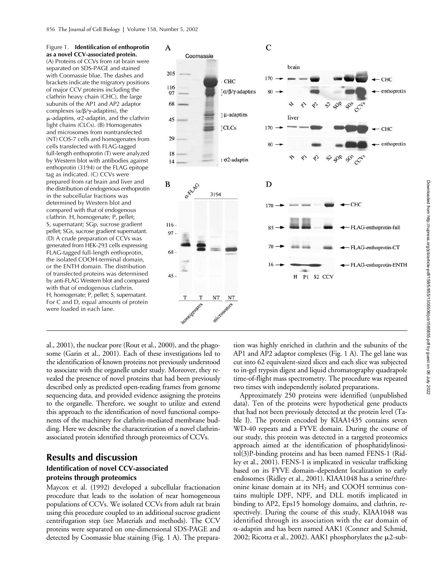

al., 2001), the nuclear pore (Rout et al., 2000), and the phagosome (Garin et al., 2001). Each of these investigations led to the identification of known proteins not previously understood to associate with the organelle under study. Moreover, they revealed the presence of novel proteins that had been previously described only as predicted open-reading frames from genome sequencing data, and provided evidence assigning the proteins to the organelle. Therefore, we sought to utilize and extend this approach to the identification of novel functional components of the machinery for clathrin-mediated membrane budding. Here we describe the characterization of a novel clathrinassociated protein identified through proteomics of CCVs.

## **Results and discussion**

## **Identification of novel CCV-associated proteins through proteomics**

Maycox et al. (1992) developed a subcellular fractionation procedure that leads to the isolation of near homogeneous populations of CCVs. We isolated CCVs from adult rat brain using this procedure coupled to an additional sucrose gradient centrifugation step (see Materials and methods). The CCV proteins were separated on one-dimensional SDS-PAGE and detected by Coomassie blue staining (Fig. 1 A). The prepara-

tion was highly enriched in clathrin and the subunits of the AP1 and AP2 adaptor complexes (Fig. 1 A). The gel lane was cut into 62 equivalent-sized slices and each slice was subjected to in-gel trypsin digest and liquid chromatography quadrapole time-of-flight mass spectrometry. The procedure was repeated two times with independently isolated preparations.

Approximately 250 proteins were identified (unpublished data). Ten of the proteins were hypothetical gene products that had not been previously detected at the protein level (Table I). The protein encoded by KIAA1435 contains seven WD-40 repeats and a FYVE domain. During the course of our study, this protein was detected in a targeted proteomics approach aimed at the identification of phosphatidylinositol(3)P-binding proteins and has been named FENS-1 (Ridley et al., 2001). FENS-1 is implicated in vesicular trafficking based on its FYVE domain–dependent localization to early endosomes (Ridley et al., 2001). KIAA1048 has a serine/threonine kinase domain at its  $NH<sub>2</sub>$  and COOH terminus contains multiple DPF, NPF, and DLL motifs implicated in binding to AP2, Eps15 homology domains, and clathrin, respectively. During the course of this study, KIAA1048 was identified through its association with the ear domain of -adaptin and has been named AAK1 (Conner and Schmid, 2002; Ricotta et al., 2002). AAK1 phosphorylates the  $\mu$ 2-sub-

CHC

CHC

enthoprotin

CC<sup>19</sup>

CHC

FLAG-enthoprotin-full

FLAG-enthoprotin-CT

FLAG-enthoprotin-ENTH

 $\mathcal{S}^{\diamond}$ 

enthoprotin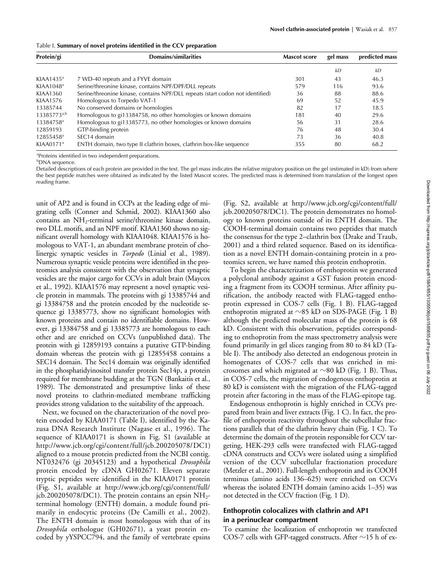| Table I. Summary of novel proteins identified in the CCV preparation |  |  |  |  |  |  |
|----------------------------------------------------------------------|--|--|--|--|--|--|
|----------------------------------------------------------------------|--|--|--|--|--|--|

| Protein/gi            | Domains/similarities                                                           | <b>Mascot score</b> | gel mass | predicted mass |
|-----------------------|--------------------------------------------------------------------------------|---------------------|----------|----------------|
|                       |                                                                                |                     | kD       | kД             |
| KIAA1435 <sup>a</sup> | 7 WD-40 repeats and a FYVE domain                                              | 301                 | 43       | 46.3           |
| KIAA1048 <sup>a</sup> | Serine/threonine kinase, contains NPF/DPF/DLL repeats                          | 579                 | 116      | 93.6           |
| KIAA1360              | Serine/threonine kinase, contains NPF/DLL repeats (start codon not identified) | 36                  | 88       | 88.6           |
| KIAA1576              | Homologous to Torpedo VAT-1                                                    | 69                  | 52       | 45.9           |
| 13385744              | No conserved domains or homologies                                             | 82                  | 17       | 18.5           |
| $13385773^{a,b}$      | Homologous to gi13384758, no other homologies or known domains                 | 181                 | 40       | 29.6           |
| 13384758 <sup>a</sup> | Homologous to gi13385773, no other homologies or known domains                 | 56                  | 31       | 28.6           |
| 12859193              | GTP-binding protein                                                            | 76                  | 48       | 30.4           |
| 12855458 <sup>a</sup> | SEC14 domain                                                                   | 73                  | 36       | 40.8           |
| KIAA0171 <sup>a</sup> | ENTH domain, two type II clathrin boxes, clathrin box-like sequence            | 355                 | 80       | 68.2           |

a Proteins identified in two independent preparations.

b DNA sequence.

Detailed descriptions of each protein are provided in the text. The gel mass indicates the relative migratory position on the gel (estimated in kD) from where the best peptide matches were obtained as indicated by the listed Mascot scores. The predicted mass is determined from translation of the longest open reading frame.

unit of AP2 and is found in CCPs at the leading edge of migrating cells (Conner and Schmid, 2002). KIAA1360 also contains an NH<sub>2</sub>-terminal serine/threonine kinase domain, two DLL motifs, and an NPF motif. KIAA1360 shows no significant overall homology with KIAA1048. KIAA1576 is homologous to VAT-1, an abundant membrane protein of cholinergic synaptic vesicles in *Torpedo* (Linial et al., 1989). Numerous synaptic vesicle proteins were identified in the proteomics analysis consistent with the observation that synaptic vesicles are the major cargo for CCVs in adult brain (Maycox et al., 1992). KIAA1576 may represent a novel synaptic vesicle protein in mammals. The proteins with gi 13385744 and gi 13384758 and the protein encoded by the nucleotide sequence gi 13385773, show no significant homologies with known proteins and contain no identifiable domains. However, gi 13384758 and gi 13385773 are homologous to each other and are enriched on CCVs (unpublished data). The protein with gi 12859193 contains a putative GTP-binding domain whereas the protein with gi 12855458 contains a SEC14 domain. The Sec14 domain was originally identified in the phosphatidyinositol transfer protein Sec14p, a protein required for membrane budding at the TGN (Bankaitis et al., 1989). The demonstrated and presumptive links of these novel proteins to clathrin-mediated membrane trafficking provides strong validation to the suitability of the approach.

Next, we focused on the characterization of the novel protein encoded by KIAA0171 (Table I), identified by the Kazusa DNA Research Institute (Nagase et al., 1996). The sequence of KIAA0171 is shown in Fig. S1 (available at http://www.jcb.org/cgi/content/full/jcb.200205078/DC1) aligned to a mouse protein predicted from the NCBI contig. NT032476 (gi 20345123) and a hypothetical *Drosophila* protein encoded by cDNA GH02671. Eleven separate tryptic peptides were identified in the KIAA0171 protein (Fig. S1, available at http://www.jcb.org/cgi/content/full/ jcb.200205078/DC1). The protein contains an epsin  $NH_{2^-}$ terminal homology (ENTH) domain, a module found primarily in endocytic proteins (De Camilli et al., 2002). The ENTH domain is most homologous with that of its *Drosophila* orthologue (GH02671), a yeast protein encoded by yYSPCC794, and the family of vertebrate epsins

(Fig. S2, available at http://www.jcb.org/cgi/content/full/ jcb.200205078/DC1). The protein demonstrates no homology to known proteins outside of its ENTH domain. The COOH-terminal domain contains two peptides that match the consensus for the type 2–clathrin box (Drake and Traub, 2001) and a third related sequence. Based on its identification as a novel ENTH domain-containing protein in a proteomics screen, we have named this protein enthoprotin.

To begin the characterization of enthoprotin we generated a polyclonal antibody against a GST fusion protein encoding a fragment from its COOH terminus. After affinity purification, the antibody reacted with FLAG-tagged enthoprotin expressed in COS-7 cells (Fig. 1 B). FLAG-tagged enthoprotin migrated at  ${\sim}85$  kD on SDS-PAGE (Fig. 1 B) although the predicted molecular mass of the protein is 68 kD. Consistent with this observation, peptides corresponding to enthoprotin from the mass spectrometry analysis were found primarily in gel slices ranging from 80 to 84 kD (Table I). The antibody also detected an endogenous protein in homogenates of COS-7 cells that was enriched in microsomes and which migrated at  $\sim$ 80 kD (Fig. 1 B). Thus, in COS-7 cells, the migration of endogenous enthoprotin at 80 kD is consistent with the migration of the FLAG-tagged protein after factoring in the mass of the FLAG-epitope tag.

Endogenous enthoprotin is highly enriched in CCVs prepared from brain and liver extracts (Fig. 1 C). In fact, the profile of enthoprotin reactivity throughout the subcellular fractions parallels that of the clathrin heavy chain (Fig. 1 C). To determine the domain of the protein responsible for CCV targeting, HEK-293 cells were transfected with FLAG-tagged cDNA constructs and CCVs were isolated using a simplified version of the CCV subcellular fractionation procedure (Metzler et al., 2001). Full-length enthoprotin and its COOH terminus (amino acids 136–625) were enriched on CCVs whereas the isolated ENTH domain (amino acids 1–35) was not detected in the CCV fraction (Fig. 1 D).

## **Enthoprotin colocalizes with clathrin and AP1 in a perinuclear compartment**

To examine the localization of enthoprotin we transfected COS-7 cells with GFP-tagged constructs. After  ${\sim}$ 15 h of ex-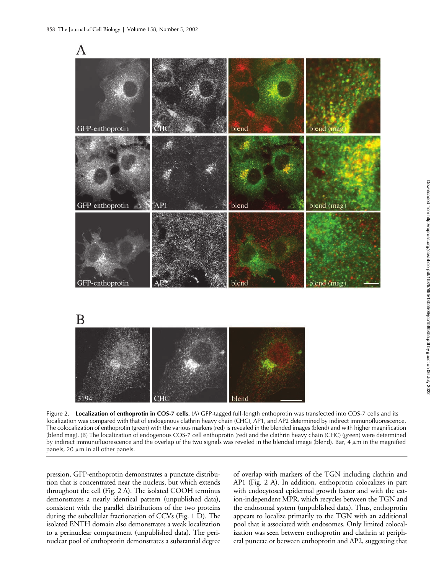



Figure 2. **Localization of enthoprotin in COS-7 cells.** (A) GFP-tagged full-length enthoprotin was transfected into COS-7 cells and its localization was compared with that of endogenous clathrin heavy chain (CHC), AP1, and AP2 determined by indirect immunofluorescence. The colocalization of enthoprotin (green) with the various markers (red) is revealed in the blended images (blend) and with higher magnification (blend mag). (B) The localization of endogenous COS-7 cell enthoprotin (red) and the clathrin heavy chain (CHC) (green) were determined by indirect immunofluorescence and the overlap of the two signals was reveled in the blended image (blend). Bar,  $4 \mu m$  in the magnified panels, 20  $\mu$ m in all other panels.

pression, GFP-enthoprotin demonstrates a punctate distribution that is concentrated near the nucleus, but which extends throughout the cell (Fig. 2 A). The isolated COOH terminus demonstrates a nearly identical pattern (unpublished data), consistent with the parallel distributions of the two proteins during the subcellular fractionation of CCVs (Fig. 1 D). The isolated ENTH domain also demonstrates a weak localization to a perinuclear compartment (unpublished data). The perinuclear pool of enthoprotin demonstrates a substantial degree

of overlap with markers of the TGN including clathrin and AP1 (Fig. 2 A). In addition, enthoprotin colocalizes in part with endocytosed epidermal growth factor and with the cation-independent MPR, which recycles between the TGN and the endosomal system (unpublished data). Thus, enthoprotin appears to localize primarily to the TGN with an additional pool that is associated with endosomes. Only limited colocalization was seen between enthoprotin and clathrin at peripheral punctae or between enthoprotin and AP2, suggesting that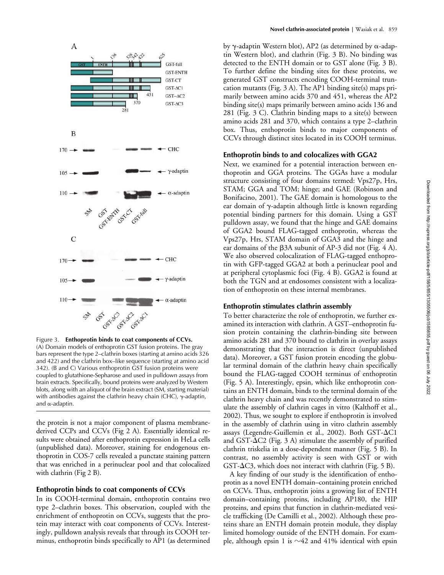

Figure 3. **Enthoprotin binds to coat components of CCVs.** (A) Domain models of enthoprotin GST fusion proteins. The gray bars represent the type 2–clathrin boxes (starting at amino acids 326 and 422) and the clathrin box–like sequence (starting at amino acid 342). (B and C) Various enthoprotin GST fusion proteins were coupled to glutathione-Sepharose and used in pulldown assays from brain extracts. Specifically, bound proteins were analyzed by Western blots, along with an aliquot of the brain extract (SM, starting material) with antibodies against the clathrin heavy chain (CHC),  $\gamma$ -adaptin, and  $\alpha$ -adaptin.

the protein is not a major component of plasma membranederived CCPs and CCVs (Fig 2 A). Essentially identical results were obtained after enthoprotin expression in HeLa cells (unpublished data). Moreover, staining for endogenous enthoprotin in COS-7 cells revealed a punctate staining pattern that was enriched in a perinuclear pool and that colocalized with clathrin (Fig 2 B).

## **Enthoprotin binds to coat components of CCVs**

In its COOH-terminal domain, enthoprotin contains two type 2–clathrin boxes. This observation, coupled with the enrichment of enthoprotin on CCVs, suggests that the protein may interact with coat components of CCVs. Interestingly, pulldown analysis reveals that through its COOH terminus, enthoprotin binds specifically to AP1 (as determined by  $\gamma$ -adaptin Western blot), AP2 (as determined by  $\alpha$ -adaptin Western blot), and clathrin (Fig. 3 B). No binding was detected to the ENTH domain or to GST alone (Fig. 3 B). To further define the binding sites for these proteins, we generated GST constructs encoding COOH-terminal truncation mutants (Fig. 3 A). The AP1 binding site(s) maps primarily between amino acids 370 and 451, whereas the AP2 binding site(s) maps primarily between amino acids 136 and 281 (Fig. 3 C). Clathrin binding maps to a site(s) between amino acids 281 and 370, which contains a type 2–clathrin box. Thus, enthoprotin binds to major components of CCVs through distinct sites located in its COOH terminus.

## **Enthoprotin binds to and colocalizes with GGA2**

Next, we examined for a potential interaction between enthoprotin and GGA proteins. The GGAs have a modular structure consisting of four domains termed: Vps27p, Hrs, STAM; GGA and TOM; hinge; and GAE (Robinson and Bonifacino, 2001). The GAE domain is homologous to the ear domain of  $\gamma$ -adaptin although little is known regarding potential binding partners for this domain. Using a GST pulldown assay, we found that the hinge and GAE domains of GGA2 bound FLAG-tagged enthoprotin, whereas the Vps27p, Hrs, STAM domain of GGA3 and the hinge and ear domains of the  $\beta$ 3A subunit of AP-3 did not (Fig. 4 A). We also observed colocalization of FLAG-tagged enthoprotin with GFP-tagged GGA2 at both a perinuclear pool and at peripheral cytoplasmic foci (Fig. 4 B). GGA2 is found at both the TGN and at endosomes consistent with a localization of enthoprotin on these internal membranes.

## **Enthoprotin stimulates clathrin assembly**

To better characterize the role of enthoprotin, we further examined its interaction with clathrin. A GST–enthoprotin fusion protein containing the clathrin-binding site between amino acids 281 and 370 bound to clathrin in overlay assays demonstrating that the interaction is direct (unpublished data). Moreover, a GST fusion protein encoding the globular terminal domain of the clathrin heavy chain specifically bound the FLAG-tagged COOH terminus of enthoprotin (Fig. 5 A). Interestingly, epsin, which like enthoprotin contains an ENTH domain, binds to the terminal domain of the clathrin heavy chain and was recently demonstrated to stimulate the assembly of clathrin cages in vitro (Kalthoff et al., 2002). Thus, we sought to explore if enthoprotin is involved in the assembly of clathrin using in vitro clathrin assembly assays (Legendre-Guillemin et al., 2002). Both GST- $\Delta$ C1 and GST- $\Delta$ C2 (Fig. 3 A) stimulate the assembly of purified clathrin triskelia in a dose-dependent manner (Fig. 5 B). In contrast, no assembly activity is seen with GST or with  $GST-AC3$ , which does not interact with clathrin (Fig. 5 B).

A key finding of our study is the identification of enthoprotin as a novel ENTH domain–containing protein enriched on CCVs. Thus, enthoprotin joins a growing list of ENTH domain–containing proteins, including AP180, the HIP proteins, and epsins that function in clathrin-mediated vesicle trafficking (De Camilli et al., 2002). Although these proteins share an ENTH domain protein module, they display limited homology outside of the ENTH domain. For example, although epsin 1 is  ${\sim}42$  and  $41\%$  identical with epsin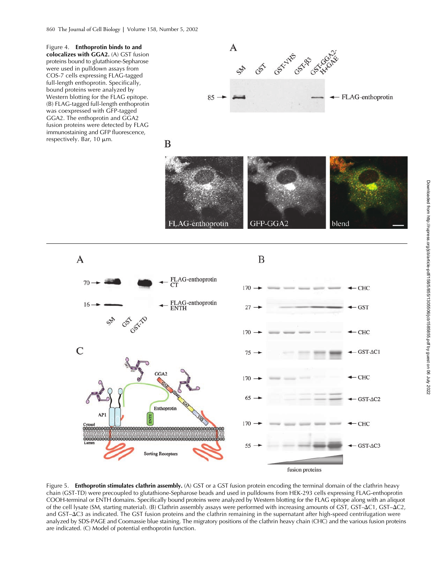Figure 4. **Enthoprotin binds to and colocalizes with GGA2.** (A) GST fusion proteins bound to glutathione-Sepharose were used in pulldown assays from COS-7 cells expressing FLAG-tagged full-length enthoprotin. Specifically, bound proteins were analyzed by Western blotting for the FLAG epitope. (B) FLAG-tagged full-length enthoprotin was coexpressed with GFP-tagged GGA2. The enthoprotin and GGA2 fusion proteins were detected by FLAG immunostaining and GFP fluorescence, respectively. Bar,  $10 \mu m$ .









Figure 5. **Enthoprotin stimulates clathrin assembly.** (A) GST or a GST fusion protein encoding the terminal domain of the clathrin heavy chain (GST-TD) were precoupled to glutathione-Sepharose beads and used in pulldowns from HEK-293 cells expressing FLAG-enthoprotin COOH-terminal or ENTH domains. Specifically bound proteins were analyzed by Western blotting for the FLAG epitope along with an aliquot of the cell lysate (SM, starting material). (B) Clathrin assembly assays were performed with increasing amounts of GST, GST–C1, GST–C2, and GST- $\Delta$ C3 as indicated. The GST fusion proteins and the clathrin remaining in the supernatant after high-speed centrifugation were analyzed by SDS-PAGE and Coomassie blue staining. The migratory positions of the clathrin heavy chain (CHC) and the various fusion proteins are indicated. (C) Model of potential enthoprotin function.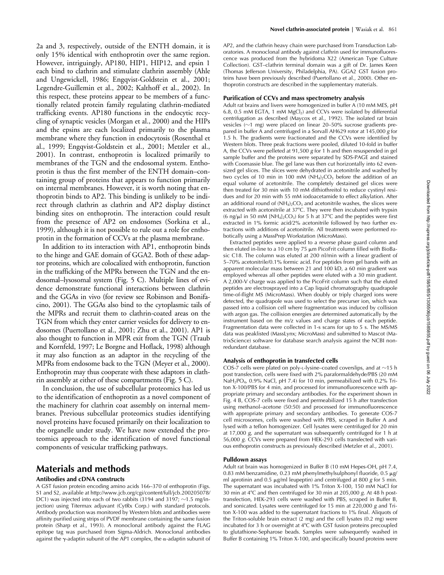2a and 3, respectively, outside of the ENTH domain, it is only 15% identical with enthoprotin over the same region. However, intriguingly, AP180, HIP1, HIP12, and epsin 1 each bind to clathrin and stimulate clathrin assembly (Ahle and Ungewickell, 1986; Engqvist-Goldstein et al., 2001; Legendre-Guillemin et al., 2002; Kalthoff et al., 2002). In this respect, these proteins appear to be members of a functionally related protein family regulating clathrin-mediated trafficking events. AP180 functions in the endocytic recycling of synaptic vesicles (Morgan et al., 2000) and the HIPs and the epsins are each localized primarily to the plasma membrane where they function in endocytosis (Rosenthal et al., 1999; Engqvist-Goldstein et al., 2001; Metzler et al., 2001). In contrast, enthoprotin is localized primarily to membranes of the TGN and the endosomal system. Enthoprotin is thus the first member of the ENTH domain–containing group of proteins that appears to function primarily on internal membranes. However, it is worth noting that enthoprotin binds to AP2. This binding is unlikely to be indirect through clathrin as clathrin and AP2 display distinct binding sites on enthoprotin. The interaction could result from the presence of AP2 on endosomes (Sorkina et al., 1999), although it is not possible to rule out a role for enthoprotin in the formation of CCVs at the plasma membrane.

In addition to its interaction with AP1, enthoprotin binds to the hinge and GAE domain of GGA2. Both of these adaptor proteins, which are colocalized with enthoprotin, function in the trafficking of the MPRs between the TGN and the endosomal–lysosomal system (Fig. 5 C). Multiple lines of evidence demonstrate functional interactions between clathrin and the GGAs in vivo (for review see Robinson and Bonifacino, 2001). The GGAs also bind to the cytoplasmic tails of the MPRs and recruit them to clathrin-coated areas on the TGN from which they enter carrier vesicles for delivery to endosomes (Puertollano et al., 2001; Zhu et al., 2001). AP1 is also thought to function in MPR exit from the TGN (Traub and Kornfeld, 1997; Le Borgne and Hoflack, 1998) although it may also function as an adaptor in the recycling of the MPRs from endosome back to the TGN (Meyer et al., 2000). Enthoprotin may thus cooperate with these adaptors in clathrin assembly at either of these compartments (Fig. 5 C).

In conclusion, the use of subcellular proteomics has led us to the identification of enthoprotin as a novel component of the machinery for clathrin coat assembly on internal membranes. Previous subcellular proteomics studies identifying novel proteins have focused primarily on their localization to the organelle under study. We have now extended the proteomics approach to the identification of novel functional components of vesicular trafficking pathways.

# **Materials and methods**

## **Antibodies and cDNA constructs**

A GST fusion protein encoding amino acids 166–370 of enthoprotin (Figs. S1 and S2, available at http://www.jcb.org/cgi/content/full/jcb.200205078/ DC1) was injected into each of two rabbits (3194 and 3197;  $\sim$ 1.5 mg/injection) using Titermax adjuvant (CytRx Corp.) with standard protocols. Antibody production was monitored by Western blots and antibodies were affinity purified using strips of PVDF membrane containing the same fusion protein (Sharp et al., 1993). A monoclonal antibody against the FLAG epitope tag was purchased from Sigma-Aldrich. Monoclonal antibodies against the  $\gamma$ -adaptin subunit of the AP1 complex, the  $\alpha$ -adaptin subunit of

AP2, and the clathrin heavy chain were purchased from Transduction Laboratories. A monoclonal antibody against clathrin used for immunofluorescence was produced from the hybridoma X22 (American Type Culture Collection). GST–clathrin terminal domain was a gift of Dr. James Keen (Thomas Jefferson University, Philadelphia, PA). GGA2 GST fusion proteins have been previously described (Puertollano et al., 2000). Other enthoprotin constructs are described in the supplementary materials.

## **Purification of CCVs and mass spectrometry analysis**

Adult rat brains and livers were homogenized in buffer A (10 mM MES, pH 6.8, 0.5 mM EGTA, 1 mM  $MgCl<sub>2</sub>$ ) and CCVs were isolated by differential centrifugation as described (Maycox et al., 1992). The isolated rat brain vesicles ( $\sim$ 1 mg) were placed on linear 20–50% sucrose gradients prepared in buffer A and centrifuged in a Sorvall AH629 rotor at 145,000 *g* for 1.5 h. The gradients were fractionated and the CCVs were identified by Western blots. Three peak fractions were pooled, diluted 10-fold in buffer A, the CCVs were pelleted at 91,500 *g* for 1 h and then resuspended in gel sample buffer and the proteins were separated by SDS-PAGE and stained with Coomassie blue. The gel lane was then cut horizontally into 62 evensized gel slices. The slices were dehydrated in acetonitrile and washed by two cycles of 10 min in 100 mM  $(NH<sub>4</sub>)<sub>2</sub>CO<sub>3</sub>$  before the addition of an equal volume of acetonitrile. The completely destained gel slices were then treated for 30 min with 10 mM dithiothreitol to reduce cystinyl residues and for 20 min with 55 mM iodoacetamide to effect alkylation. After an additional round of  $(NH_4)_2CO_3$  and acetonitrile washes, the slices were extracted with acetonitrile at 37°C. They were then incubated with trypsin (6 ng/ $\mu$ l in 50 mM [NH<sub>4</sub>]<sub>2</sub>CO<sub>3</sub>) for 5 h at 37°C and the peptides were first extracted in 1% formic acid/2% acetonitrile followed by two further extractions with additions of acetonitrile. All treatments were performed robotically using a MassPrep Workstation (MicroMass).

Extracted peptides were applied to a reverse phase guard column and then eluted in-line to a 10 cm by 75  $\mu$ m PicoFrit column filled with BioBasic C18. The column was eluted at 200 nl/min with a linear gradient of 5–70% acetonitrile/0.1% formic acid. For peptides from gel bands with an apparent molecular mass between 21 and 100 kD, a 60 min gradient was employed whereas all other peptides were eluted with a 30 min gradient. A 2,000-V charge was applied to the PicoFrit column such that the eluted peptides are electrosprayed into a Cap liquid chromatography quadrapole time-of-flight MS (MicroMass). When doubly or triply charged ions were detected, the quadrapole was used to select the precurser ion, which was passed into a collision cell where fragmentation was induced by collision with argon gas. The collision energies are determined automatically by the instrument based on the m/z values and charge states of each peptide. Fragmentation data were collected in 1-s scans for up to 5 s. The MS/MS data was peaklisted (MassLynx; MicroMass) and submitted to Mascot (MatrixScience) software for database search analysis against the NCBI nonredundant database.

#### **Analysis of enthoprotin in transfected cells**

COS-7 cells were plated on poly-L-lysine–coated coverslips, and at  ${\sim}15$  h post transfection, cells were fixed with 2% paraformaldehyde/PBS (20 mM NaH<sub>2</sub>PO<sub>4</sub>, 0.9% NaCl, pH 7.4) for 10 min, permeabilized with 0.2% Triton X-100/PBS for 4 min, and processed for immunofluorescence with appropriate primary and secondary antibodies. For the experiment shown in Fig. 4 B, COS-7 cells were fixed and permeabilized 15 h after transfection using methanol–acetone (50:50) and processed for immunofluorescence with appropriate primary and secondary antibodies. To generate COS-7 cell microsomes, cells were washed with PBS, scraped in Buffer A and lysed with a teflon homogenizer. Cell lysates were centrifuged for 20 min at 17,000 *g*, and the supernatant was subsequently centrifuged for 1 h at 56,000 *g*. CCVs were prepared from HEK-293 cells transfected with various enthoprotin constructs as previously described (Metzler et al., 2001).

## **Pulldown assays**

Adult rat brain was homogenized in Buffer B (10 mM Hepes-OH, pH 7.4, 0.83 mM benzamidine, 0.23 mM phenylmethylsulphonyl fluoride, 0.5  $\mu$ g/ ml aprotinin and  $0.5 \mu g/ml$  leupeptin) and centrifuged at 800  $g$  for 5 min. The supernatant was incubated with 1% Triton X-100, 150 mM NaCl for 30 min at 4C and then centrifuged for 30 min at 205,000 *g*. At 48 h posttransfection, HEK-293 cells were washed with PBS, scraped in Buffer B, and sonicated. Lysates were centrifuged for 15 min at 220,000 *g* and Triton X-100 was added to the supernatant fractions to 1% final. Aliquots of the Triton-soluble brain extract (2 mg) and the cell lysates (0.2 mg) were incubated for 3 h or overnight at 4°C with GST fusion proteins precoupled to glutathione-Sepharose beads. Samples were subsequently washed in Buffer B containing 1% Triton X-100, and specifically bound proteins were